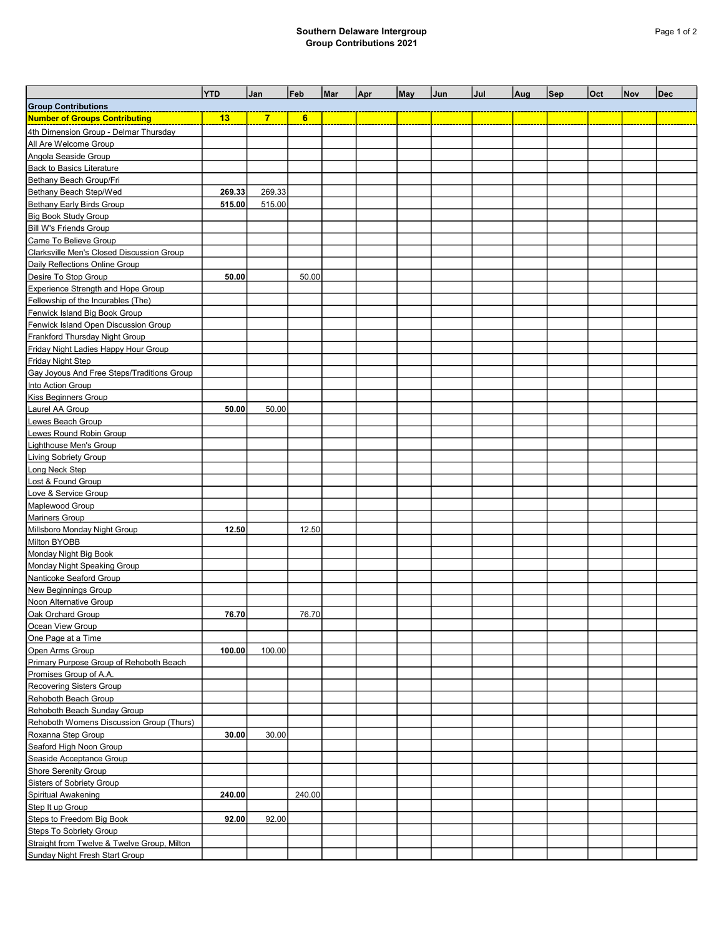## Southern Delaware Intergroup Group Contributions 2021

|                                             | <b>YTD</b> | Jan            | Feb    | Mar | Apr | May | Jun | Jul | Aug | Sep | Oct | Nov | <b>Dec</b> |
|---------------------------------------------|------------|----------------|--------|-----|-----|-----|-----|-----|-----|-----|-----|-----|------------|
| <b>Group Contributions</b>                  |            |                |        |     |     |     |     |     |     |     |     |     |            |
| <b>Number of Groups Contributing</b>        | 13         | 7 <sup>7</sup> | 6      |     |     |     |     |     |     |     |     |     |            |
| 4th Dimension Group - Delmar Thursday       |            |                |        |     |     |     |     |     |     |     |     |     |            |
| All Are Welcome Group                       |            |                |        |     |     |     |     |     |     |     |     |     |            |
| Angola Seaside Group                        |            |                |        |     |     |     |     |     |     |     |     |     |            |
| <b>Back to Basics Literature</b>            |            |                |        |     |     |     |     |     |     |     |     |     |            |
| Bethany Beach Group/Fri                     |            |                |        |     |     |     |     |     |     |     |     |     |            |
| Bethany Beach Step/Wed                      | 269.33     | 269.33         |        |     |     |     |     |     |     |     |     |     |            |
| Bethany Early Birds Group                   | 515.00     | 515.00         |        |     |     |     |     |     |     |     |     |     |            |
| <b>Big Book Study Group</b>                 |            |                |        |     |     |     |     |     |     |     |     |     |            |
| <b>Bill W's Friends Group</b>               |            |                |        |     |     |     |     |     |     |     |     |     |            |
| Came To Believe Group                       |            |                |        |     |     |     |     |     |     |     |     |     |            |
| Clarksville Men's Closed Discussion Group   |            |                |        |     |     |     |     |     |     |     |     |     |            |
| Daily Reflections Online Group              |            |                |        |     |     |     |     |     |     |     |     |     |            |
| Desire To Stop Group                        | 50.00      |                | 50.00  |     |     |     |     |     |     |     |     |     |            |
| Experience Strength and Hope Group          |            |                |        |     |     |     |     |     |     |     |     |     |            |
| Fellowship of the Incurables (The)          |            |                |        |     |     |     |     |     |     |     |     |     |            |
| Fenwick Island Big Book Group               |            |                |        |     |     |     |     |     |     |     |     |     |            |
| Fenwick Island Open Discussion Group        |            |                |        |     |     |     |     |     |     |     |     |     |            |
| Frankford Thursday Night Group              |            |                |        |     |     |     |     |     |     |     |     |     |            |
| Friday Night Ladies Happy Hour Group        |            |                |        |     |     |     |     |     |     |     |     |     |            |
| <b>Friday Night Step</b>                    |            |                |        |     |     |     |     |     |     |     |     |     |            |
| Gay Joyous And Free Steps/Traditions Group  |            |                |        |     |     |     |     |     |     |     |     |     |            |
| Into Action Group                           |            |                |        |     |     |     |     |     |     |     |     |     |            |
| <b>Kiss Beginners Group</b>                 |            |                |        |     |     |     |     |     |     |     |     |     |            |
| Laurel AA Group                             | 50.00      | 50.00          |        |     |     |     |     |     |     |     |     |     |            |
| Lewes Beach Group                           |            |                |        |     |     |     |     |     |     |     |     |     |            |
| Lewes Round Robin Group                     |            |                |        |     |     |     |     |     |     |     |     |     |            |
| Lighthouse Men's Group                      |            |                |        |     |     |     |     |     |     |     |     |     |            |
| <b>Living Sobriety Group</b>                |            |                |        |     |     |     |     |     |     |     |     |     |            |
| Long Neck Step                              |            |                |        |     |     |     |     |     |     |     |     |     |            |
| Lost & Found Group                          |            |                |        |     |     |     |     |     |     |     |     |     |            |
| Love & Service Group                        |            |                |        |     |     |     |     |     |     |     |     |     |            |
| Maplewood Group                             |            |                |        |     |     |     |     |     |     |     |     |     |            |
| <b>Mariners Group</b>                       |            |                |        |     |     |     |     |     |     |     |     |     |            |
| Millsboro Monday Night Group                | 12.50      |                | 12.50  |     |     |     |     |     |     |     |     |     |            |
| Milton BYOBB                                |            |                |        |     |     |     |     |     |     |     |     |     |            |
| Monday Night Big Book                       |            |                |        |     |     |     |     |     |     |     |     |     |            |
| Monday Night Speaking Group                 |            |                |        |     |     |     |     |     |     |     |     |     |            |
| Nanticoke Seaford Group                     |            |                |        |     |     |     |     |     |     |     |     |     |            |
| <b>New Beginnings Group</b>                 |            |                |        |     |     |     |     |     |     |     |     |     |            |
| Noon Alternative Group                      |            |                |        |     |     |     |     |     |     |     |     |     |            |
| Oak Orchard Group                           | 76.70      |                | 76.70  |     |     |     |     |     |     |     |     |     |            |
| Ocean View Group                            |            |                |        |     |     |     |     |     |     |     |     |     |            |
| One Page at a Time                          |            |                |        |     |     |     |     |     |     |     |     |     |            |
| Open Arms Group                             | 100.00     | 100.00         |        |     |     |     |     |     |     |     |     |     |            |
| Primary Purpose Group of Rehoboth Beach     |            |                |        |     |     |     |     |     |     |     |     |     |            |
| Promises Group of A.A.                      |            |                |        |     |     |     |     |     |     |     |     |     |            |
| <b>Recovering Sisters Group</b>             |            |                |        |     |     |     |     |     |     |     |     |     |            |
| Rehoboth Beach Group                        |            |                |        |     |     |     |     |     |     |     |     |     |            |
| Rehoboth Beach Sunday Group                 |            |                |        |     |     |     |     |     |     |     |     |     |            |
| Rehoboth Womens Discussion Group (Thurs)    |            |                |        |     |     |     |     |     |     |     |     |     |            |
| Roxanna Step Group                          | 30.00      | 30.00          |        |     |     |     |     |     |     |     |     |     |            |
| Seaford High Noon Group                     |            |                |        |     |     |     |     |     |     |     |     |     |            |
| Seaside Acceptance Group                    |            |                |        |     |     |     |     |     |     |     |     |     |            |
| <b>Shore Serenity Group</b>                 |            |                |        |     |     |     |     |     |     |     |     |     |            |
| Sisters of Sobriety Group                   |            |                |        |     |     |     |     |     |     |     |     |     |            |
| Spiritual Awakening                         | 240.00     |                | 240.00 |     |     |     |     |     |     |     |     |     |            |
| Step It up Group                            |            |                |        |     |     |     |     |     |     |     |     |     |            |
| Steps to Freedom Big Book                   | 92.00      | 92.00          |        |     |     |     |     |     |     |     |     |     |            |
| <b>Steps To Sobriety Group</b>              |            |                |        |     |     |     |     |     |     |     |     |     |            |
| Straight from Twelve & Twelve Group, Milton |            |                |        |     |     |     |     |     |     |     |     |     |            |
| Sunday Night Fresh Start Group              |            |                |        |     |     |     |     |     |     |     |     |     |            |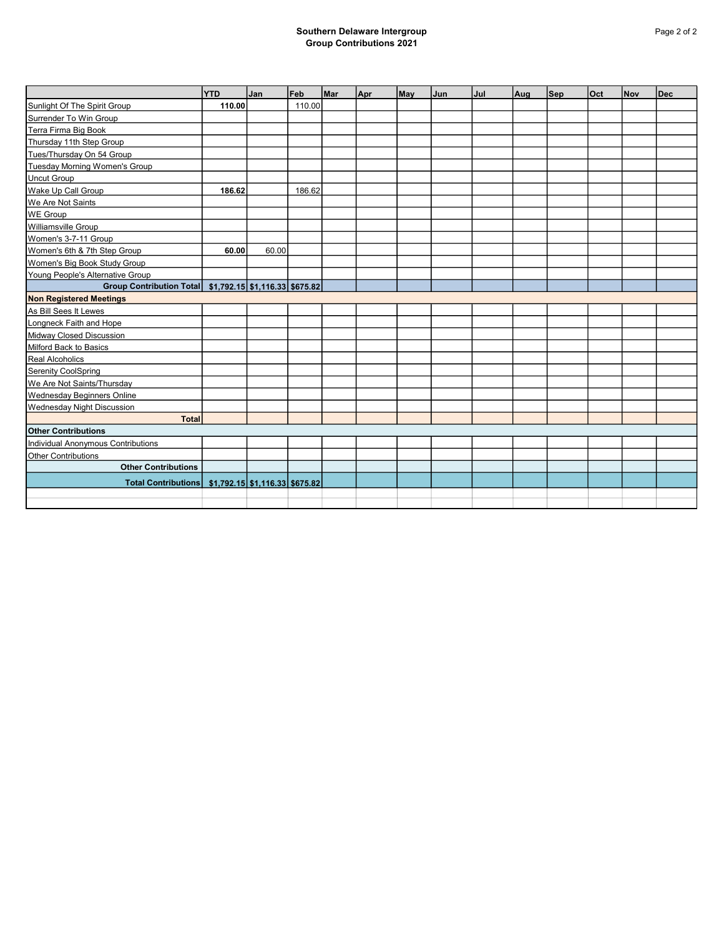## Southern Delaware Intergroup Group Contributions 2021

|                                                         | <b>YTD</b>                        | lJan  | <b>Feb</b> | Mar l | Apr | May | Jun | Jul | Aug | <b>Sep</b> | Oct | <b>Nov</b> | <b>Dec</b> |
|---------------------------------------------------------|-----------------------------------|-------|------------|-------|-----|-----|-----|-----|-----|------------|-----|------------|------------|
| Sunlight Of The Spirit Group                            | 110.00                            |       | 110.00     |       |     |     |     |     |     |            |     |            |            |
| Surrender To Win Group                                  |                                   |       |            |       |     |     |     |     |     |            |     |            |            |
| Terra Firma Big Book                                    |                                   |       |            |       |     |     |     |     |     |            |     |            |            |
| Thursday 11th Step Group                                |                                   |       |            |       |     |     |     |     |     |            |     |            |            |
| Tues/Thursday On 54 Group                               |                                   |       |            |       |     |     |     |     |     |            |     |            |            |
| Tuesday Morning Women's Group                           |                                   |       |            |       |     |     |     |     |     |            |     |            |            |
| <b>Uncut Group</b>                                      |                                   |       |            |       |     |     |     |     |     |            |     |            |            |
| Wake Up Call Group                                      | 186.62                            |       | 186.62     |       |     |     |     |     |     |            |     |            |            |
| We Are Not Saints                                       |                                   |       |            |       |     |     |     |     |     |            |     |            |            |
| <b>WE Group</b>                                         |                                   |       |            |       |     |     |     |     |     |            |     |            |            |
| <b>Williamsville Group</b>                              |                                   |       |            |       |     |     |     |     |     |            |     |            |            |
| Women's 3-7-11 Group                                    |                                   |       |            |       |     |     |     |     |     |            |     |            |            |
| Women's 6th & 7th Step Group                            | 60.00                             | 60.00 |            |       |     |     |     |     |     |            |     |            |            |
| Women's Big Book Study Group                            |                                   |       |            |       |     |     |     |     |     |            |     |            |            |
| Young People's Alternative Group                        |                                   |       |            |       |     |     |     |     |     |            |     |            |            |
| Group Contribution Total \$1,792.15 \$1,116.33 \$675.82 |                                   |       |            |       |     |     |     |     |     |            |     |            |            |
| <b>Non Registered Meetings</b>                          |                                   |       |            |       |     |     |     |     |     |            |     |            |            |
| As Bill Sees It Lewes                                   |                                   |       |            |       |     |     |     |     |     |            |     |            |            |
| Longneck Faith and Hope                                 |                                   |       |            |       |     |     |     |     |     |            |     |            |            |
| Midway Closed Discussion                                |                                   |       |            |       |     |     |     |     |     |            |     |            |            |
| Milford Back to Basics                                  |                                   |       |            |       |     |     |     |     |     |            |     |            |            |
| <b>Real Alcoholics</b>                                  |                                   |       |            |       |     |     |     |     |     |            |     |            |            |
| <b>Serenity CoolSpring</b>                              |                                   |       |            |       |     |     |     |     |     |            |     |            |            |
| We Are Not Saints/Thursday                              |                                   |       |            |       |     |     |     |     |     |            |     |            |            |
| Wednesday Beginners Online                              |                                   |       |            |       |     |     |     |     |     |            |     |            |            |
| <b>Wednesday Night Discussion</b>                       |                                   |       |            |       |     |     |     |     |     |            |     |            |            |
| <b>Total</b>                                            |                                   |       |            |       |     |     |     |     |     |            |     |            |            |
| <b>Other Contributions</b>                              |                                   |       |            |       |     |     |     |     |     |            |     |            |            |
| Individual Anonymous Contributions                      |                                   |       |            |       |     |     |     |     |     |            |     |            |            |
| <b>Other Contributions</b>                              |                                   |       |            |       |     |     |     |     |     |            |     |            |            |
| <b>Other Contributions</b>                              |                                   |       |            |       |     |     |     |     |     |            |     |            |            |
| <b>Total Contributions</b>                              | $$1,792.15$ $$1,116.33$ $$675.82$ |       |            |       |     |     |     |     |     |            |     |            |            |
|                                                         |                                   |       |            |       |     |     |     |     |     |            |     |            |            |
|                                                         |                                   |       |            |       |     |     |     |     |     |            |     |            |            |